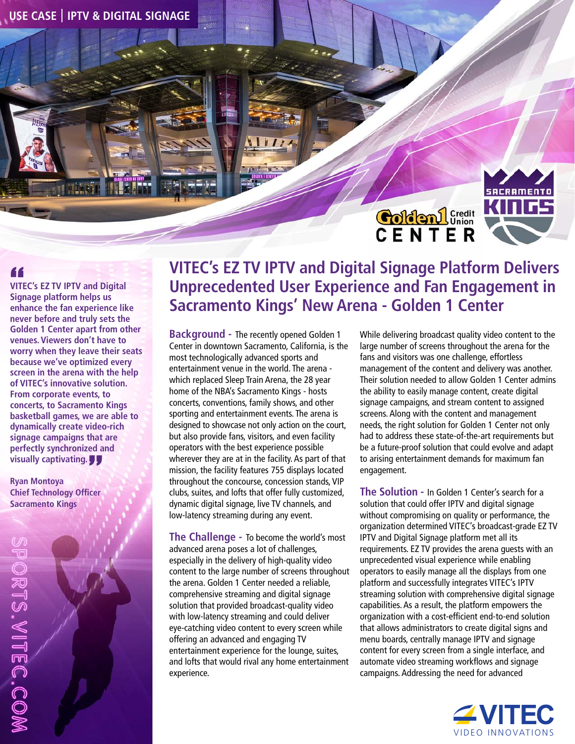**USE CASE IPTV & DIGITAL SIGNAGE** 

## Colden L<sup>Credit</sup><br>C E N T E R



**VITEC's EZ TV IPTV and Digital Signage platform helps us enhance the fan experience like never before and truly sets the Golden 1 Center apart from other venues. Viewers don't have to worry when they leave their seats because we've optimized every screen in the arena with the help of VITEC's innovative solution. From corporate events, to concerts, to Sacramento Kings basketball games, we are able to dynamically create video-rich signage campaigns that are perfectly synchronized and visually captivating.**

**Ryan Montoya Chief Technology Officer Sacramento Kings** 

## **VITEC's EZ TV IPTV and Digital Signage Platform Delivers Unprecedented User Experience and Fan Engagement in Sacramento Kings' New Arena - Golden 1 Center**

**Background -** The recently opened Golden 1 Center in downtown Sacramento, California, is the most technologically advanced sports and entertainment venue in the world. The arena which replaced Sleep Train Arena, the 28 year home of the NBA's Sacramento Kings - hosts concerts, conventions, family shows, and other sporting and entertainment events. The arena is designed to showcase not only action on the court, but also provide fans, visitors, and even facility operators with the best experience possible wherever they are at in the facility. As part of that mission, the facility features 755 displays located throughout the concourse, concession stands, VIP clubs, suites, and lofts that offer fully customized, dynamic digital signage, live TV channels, and low-latency streaming during any event.

**The Challenge -** To become the world's most advanced arena poses a lot of challenges, especially in the delivery of high-quality video content to the large number of screens throughout the arena. Golden 1 Center needed a reliable, comprehensive streaming and digital signage solution that provided broadcast-quality video with low-latency streaming and could deliver eye-catching video content to every screen while offering an advanced and engaging TV entertainment experience for the lounge, suites, and lofts that would rival any home entertainment experience.

While delivering broadcast quality video content to the large number of screens throughout the arena for the fans and visitors was one challenge, effortless management of the content and delivery was another. Their solution needed to allow Golden 1 Center admins the ability to easily manage content, create digital signage campaigns, and stream content to assigned screens. Along with the content and management needs, the right solution for Golden 1 Center not only had to address these state-of-the-art requirements but be a future-proof solution that could evolve and adapt to arising entertainment demands for maximum fan engagement.

**The Solution -** In Golden 1 Center's search for a solution that could offer IPTV and digital signage without compromising on quality or performance, the organization determined VITEC's broadcast-grade EZ TV IPTV and Digital Signage platform met all its requirements. EZ TV provides the arena guests with an unprecedented visual experience while enabling operators to easily manage all the displays from one platform and successfully integrates VITEC's IPTV streaming solution with comprehensive digital signage capabilities. As a result, the platform empowers the organization with a cost-efficient end-to-end solution that allows administrators to create digital signs and menu boards, centrally manage IPTV and signage content for every screen from a single interface, and automate video streaming workflows and signage campaigns. Addressing the need for advanced